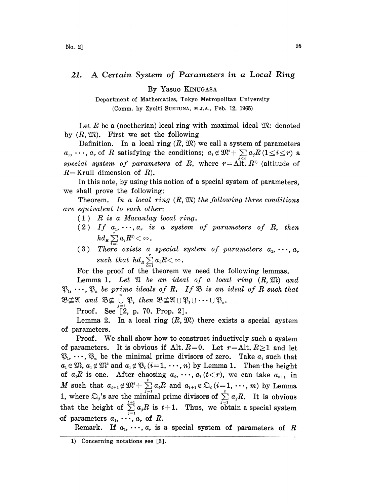## 21. A Certain System of Parameters in <sup>a</sup> Local Ring

By Yasuo KINUGASA

Department of Mathematics, Tokyo Metropolitan University (Comm. by Zyoiti SUETUNA, M.J.A., Feb. 12, 1965)

Let R be a (noetherian) local ring with maximal ideal  $\mathfrak{M}$ : denoted by  $(R, \mathfrak{M})$ . First we set the following

Definition. In a local ring  $(R, \mathfrak{M})$  we call a system of parameters  $a_1, \dots, a_r$  of R satisfying the conditions;  $a_i \notin \mathfrak{M}^2 + \sum_{i \leq i} a_i R \left(1 \leq i \leq r\right)$  a special system of parameters of R, where  $r = A[t, R^1]$  (altitude of  $R=$ Krull dimension of  $R$ ).

In this note, by using this notion of a special system of parameters. we shall prove the following:

Theorem. In a local ring  $(R, \mathfrak{M})$  the following three conditions are equivalent to each other:

- $(1)$  R is a Macaulay local ring.
- (2) If  $a_1, \dots, a_r$  is a system of parameters of R, then  $h d_{\scriptscriptstyle R} \sum\limits_{i=1}^r a_i R^{\scriptscriptstyle 1)}$
- (3) There exists a special system of parameters  $a_{1},\,\cdots,\,a_{r}$ such that  $hd_R \sum_{i=1}^r a_i R \langle \infty$ .

For the proof of the theorem we need the following lemmas.

Lemma 1. Let  $\mathfrak A$  be an ideal of a local ring  $(R, \mathfrak M)$  and  $\mathfrak{P}_1, \cdots, \mathfrak{P}_n$  be prime ideals of R. If  $\mathfrak{B}$  is an ideal of R such that  $\mathfrak{B} \not\subset \mathfrak{A}$  and  $\mathfrak{B} \not\subset \bigcup_{j=1}^{n} \mathfrak{B}$ , then  $\mathfrak{B} \not\subset \mathfrak{A} \cup \mathfrak{B}_1 \cup \cdots \cup \mathfrak{B}_n$ .<br>Proof  $\operatorname{Soo}^{\mathfrak{F}_{2}}$  n 70 Pron 2]

Proof. See  $[2, p. 70.$  Prop. 2].

Lemma 2. In a local ring  $(R, \mathfrak{M})$  there exists a special system of parameters.

Proof. We shall show how to construct inductively such <sup>a</sup> system of parameters. It is obvious if Alt.  $R=0$ . Let  $r =$ Alt.  $R \ge 1$  and let  $\mathfrak{P}_1, \cdots, \mathfrak{P}_n$  be the minimal prime divisors of zero. Take  $a_1$  such that  $a_1 \in \mathfrak{M}$ ,  $a_1 \notin \mathfrak{M}^2$  and  $a_1 \notin \mathfrak{P}_i$   $(i=1, \dots, n)$  by Lemma 1. Then the height of  $a_1R$  is one. After choosing  $a_i, \dots, a_t (t < r)$ , we can take  $a_{t+1}$  in of  $a_1R$  is one. After choosing  $a_i, \dots, a_t$  ( $t < r$ ), we can take  $a_{t+1}$  in <br> M such that  $a_{t+1} \notin \mathfrak{M}^2 + \sum_{j=1}^t a_j R$  and  $a_{t+1} \notin \mathfrak{D}_i$  ( $i = 1, \dots, m$ ) by Lemma 1, where  $\sum_{j} s_j$  are the minimal prime divisors of  $\sum_{j=1}^{t} a_j R$ . It is obvious that the height of  $\sum_{j=1}^{t+1} a_j R$  is  $t+1$ . Thus, we obtain a special system of parameters  $a_1, \cdots, a_r$  of R.

Remark. If  $a_1, \dots, a_r$  is a special system of parameters of R

<sup>1)</sup> Concerning notations see [3].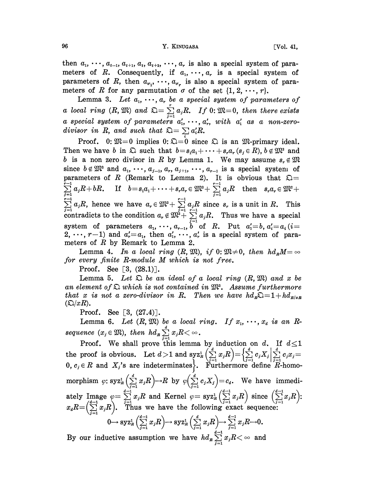then  $a_1, \dots, a_{t-1}, a_{t+1}, a_t, a_{t+2}, \dots, a_r$  is also a special system of parameters of R. Consequently, if  $a_1, \dots, a_r$  is a special system of parameters of R, then  $a_{\sigma_1}, \dots, a_{\sigma_r}$  is also a special system of parameters of R for any parmutation  $\sigma$  of the set  $\{1, 2, \dots, r\}$ .

Lemma 3. Let  $a_1, \dots, a_r$  be a special system of parameters of Lemma 3. Let  $a_1, \dots, a_r$  be a special system of parameters of<br>a local ring  $(R, \mathfrak{M})$  and  $\mathfrak{Q} = \sum_{j=1}^r a_j R$ . If 0:  $\mathfrak{M} = 0$ , then there exists<br>a special system of parameters  $a'_1, \dots, a'_r$ , with  $a'_1$  as a non-zer divisor in R, and such that  $\mathfrak{Q} = \sum a_i'R$ .

Proof. 0:  $\mathfrak{M}=0$  implies 0:  $\mathfrak{D}=0$  since  $\mathfrak{D}$  is an  $\mathfrak{M}$ -primary ideal. Then we have b in  $\mathfrak{D}$  such that  $b = s_1 a_1 + \cdots + s_r a_r$   $(s_i \in R)$ ,  $b \notin \mathfrak{M}^2$  and b is a non zero divisor in R by Lemma 1. We may assume  $s_r \notin \mathfrak{M}$ since  $b \notin \mathfrak{M}^2$  and  $a_1, \dots, a_{j-1}, a_r, a_{j+1}, \dots, a_{r-1}$  is a special system of parameters of R (Remark to Lemma 2). It is obvious that  $\mathfrak{Q} =$  $\sum_{i=1}^{n-1} a_i R + bR$ . If  $b = s_1 a_1 + \cdots + s_r a_r \in \mathfrak{M}^2 + \sum_{i=1}^{r-1} a_i R$  then  $s_r a_r \in \mathfrak{M}$  $\sum_{j=1}^{r-1} a_j R$ , hence we have  $a_r \in \mathfrak{M}^2 + \sum_{j=1}^{r-1} a_j R$  since  $s_r$  is a unit in R. This contradicts to the condition  $a_r \notin \mathfrak{M}^2 + \sum_{j=1}^{r-1} a_j R$ . Thus we have a special system of parameters  $a_1, \dots, a_{r-1}, b$  o =i =i -i  $\sum_{j=1}^{r-1} a_j R$ , hence we have  $a_r \in \mathfrak{M}^2 + \sum_{j=1}^{r-1} a_j R$  since  $s_r$  is a unit in R. This contradicts to the condition  $a_r \notin \mathfrak{M}^2 + \sum_{j=1}^{r-1} a_j R$ . Thus we have a special system of parameters  $a_1, \cdots, a_{r-1}, \overline{b} \text{ of } R$ . Put  $a'_1 = b, a'_i = a_i$  (i=  $2, \dots, r-1$  and  $a'_r = a_1$ , then  $a'_1, \dots, a'_r$  is a special system of parameters of  $R$  by Remark to Lemma 2.

Lemma 4. In a local ring  $(R, \mathfrak{M})$ , if 0:  $\mathfrak{M} \neq 0$ , then  $hd_nM = \infty$ for every finite  $R$ -module  $M$  which is not free.

**Proof.** See  $[3, (28.1)]$ .

Lemma 5. Let  $\mathfrak D$  be an ideal of a local ring  $(R,\mathfrak M)$  and x be an element of  $\mathfrak D$  which is not contained in  $\mathfrak M^2$ . Assume furthermore that x is not a zero-divisor in R. Then we have  $hd_{R} \Sigma = 1 + h d_{R/xR}$  $(\mathcal{Q}/xR)$ .

**Proof.** See [3,  $(27.4)$ ].

Lemma 6. Let  $(R, \mathfrak{M})$  be a local ring. If  $x_1, \dots, x_d$  is an R $sequence (x_j \in \mathfrak{M}), then \ hd_R \sum_{j=1}^d x_j R < \infty.$ 

Proof. We shall prove this lemma by induction on  $d$ . If the proof is obvious. Let  $d>1$  and  $\displaystyle{\sup_{X_R}} \left(\sum_{j=1}^{\infty} x_jR\right)=\left\{\sum_{j=1}^{\infty} c_jX_j\right\}_{j=1}^{\infty} c_jx_j=1$  $0, c_j \in R$  and  $X_j$ 's are indeterminates  $\Big\}$ . Furthermore define  $R$ -homomorphism  $\varphi: \mathrm{syz}_R^1\left(\sum_{j=1}^d x_jR\right) \to R$  by  $\varphi\left(\sum_{j=1}^d c_jX_j\right)=c_d$ . We have immediately Image  $\varphi = \sum_{j=1}^{d-1} x_j R$  and Kernel  $\varphi = \text{Syz}_R^1 \left( \sum_{j=1}^{d-1} x_j R \right)$  since  $\left( \sum_{j=1}^{d-1} x_j R \right)$ <br>  $x_d R = \left( \sum_{j=1}^{d-1} x_j R \right)$ . Thus we have the following exact sequence:  $0 \longrightarrow \mathrm{syz}_R^1\left(\sum_{i=1}^{d-1} x_i R\right) \longrightarrow \mathrm{syz}_R^1\left(\sum_{i=1}^d x_i R\right) \longrightarrow \sum_{i=1}^{d-1} x_i R \longrightarrow 0.$ 

By our inductive assumption we have  $hd_R \sum_{j=1}^{d-1} x_jR < \infty$  and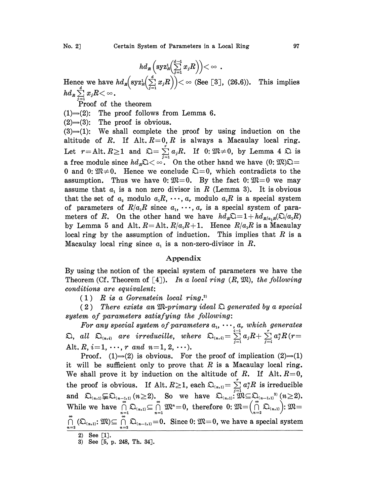$$
hd_{R}\left(\mathrm{syz}_{R}^{1}\left(\sum_{j=1}^{d-1} x_{j}R\right)\right)<\infty .
$$

Hence we have  $hd_{\mathbf{z}}\left(\operatorname{syz}_{\mathbf{z}}^{1}\left(\sum_{j=1}^{d}x_{j}\mathbf{R}\right)\right)<\infty$  (See [3], (26.6)). This implies

Proof of the theorem

(1) $\Rightarrow$ (2): The proof follows from Lemma 6.

 $(2) \rightarrow (3)$ : The proof is obvious.

 $(3) \rightarrow (1)$ : We shall complete the proof by using induction on the altitude of R. If Alt.  $R=0, R$  is always a Macaulay local ring. Let  $r =$ Alt.  $R \ge 1$  and  $\mathfrak{Q} = \sum_{j=1}^{r} a_j R$ . If  $0: \mathfrak{M} \ne 0$ , by Lemma 4  $\mathfrak{Q}$  is Let  $r =$ Ait.  $k \ge 1$  and  $\lambda l = \sum_{j=1}^k a_j k$ . If  $0: \omega \ne 0$ , by Lemma 4  $\lambda l$  is<br>a free module since  $hd_R\lambda < \infty$ . On the other hand we have  $(0: \mathfrak{M})\lambda =$ a free module since  $hd_R\mathfrak{D}\langle \infty\rangle$ . On the other hand we have  $(0: \mathfrak{M})\mathfrak{D}=0$  and  $0: \mathfrak{M}\neq 0$ . Hence we conclude  $\mathfrak{D}=0$ , which contradicts to the assumption. Thus we have  $0: \mathfrak{M}=0$ . By the fact  $0: \mathfrak{$ Thus we have 0:  $\mathfrak{M}=0$ . By the fact 0:  $\mathfrak{M}=0$  we may assume that  $a_1$  is a non zero divisor in R (Lemma 3). It is obvious that the set of  $a_2$  modulo  $a_1R, \dots, a_r$  modulo  $a_1R$  is a special system of parameters of  $R/a_1R$  since  $a_1, \dots, a_r$  is a special system of parameters of R. On the other hand we have  $hd_R\Omega=1+ h d_{R/a,R}(\Omega/a_1R)$ by Lemma 5 and Alt.  $R =$ Alt.  $R/a<sub>1</sub>R+1$ . Hence  $R/a<sub>1</sub>R$  is a Macaulay local ring by the assumption of induction. This implies that  $R$  is a Macaulay local ring since  $a_1$  is a non-zero-divisor in  $R$ .

## Appendix

By using the notion of the special system of parameters we have the Theorem (Cf. Theorem of  $[4]$ ). In a local ring  $(R, \mathfrak{M})$ , the following conditions are equivalent:

 $(1)$  R is a Gorenstein local ring.<sup>2)</sup>

(2) There exists an  $\mathfrak{M}$ -primary ideal  $\mathfrak{D}$  generated by a special system of parameters satisfying the following:

For any special system of parameters  $a_1, \dots, a_r$  which generates<br>  $\mathfrak{D}$ , all  $\mathfrak{D}_{(n,i)}$  are irreducille, where  $\mathfrak{D}_{(n,i)} = \sum_{i=1}^{i-1} a_i R + \sum_{i=1}^r a_i^n R$  (r= Alt.  $R, i=1, \cdots, r \text{ and } n=1, 2, \cdots$ .  $\sum_{j=1}$ 

Proof. (1) $\Rightarrow$ (2) is obvious. For the proof of implication (2) $\Rightarrow$ (1) it will be sufficient only to prove that  $R$  is a Macaulay local ring. We shall prove it by induction on the altitude of R. If Alt.  $R=0$ , We shall prove it by induction on the altitude of *K*. If Alt.  $R=0$ ,<br>the proof is obvious. If Alt.  $R \ge 1$ , each  $\mathfrak{Q}_{(n,1)} = \sum_{j=1}^{r} a_j^n R$  is irreducible<br>and  $\mathfrak{Q}_{(n,1)} \subsetneq \mathfrak{Q}_{(n-1,1)}$  ( $n \ge 2$ ). So we have  $\math$ and  $\Omega_{(n,1)}\subseteq\Omega_{(n-1,1)}$   $(n\geq 2)$ . So we have  $\Omega_{(n,1)}$ :  $\mathfrak{M}\subseteq\Omega_{(n-1,1)}$ <sup>3</sup>  $(n\geq 2)$ .<br>While we have  $\bigcap_{n=1}^{\infty}\Omega_{(n,1)}\subseteq\bigcap_{n=1}^{\infty}\mathfrak{M}^{n}=0$ , therefore  $0:\mathfrak{M}=(\bigcap_{n=2}^{\infty}\Omega_{(n,1)}):$   $\mathfrak{M}=$  $\bigcap_{n=2}^{\infty} (\Omega_{(n,1)}; \mathfrak{M}) \subseteq \bigcap_{n=2}^{\infty} \Omega_{(n-1,1)} = 0$ . Since 0:  $\mathfrak{M} = 0$ , we have a special system 2) See  $[1]$ .

3) See [5, p. 248, Th. 34].